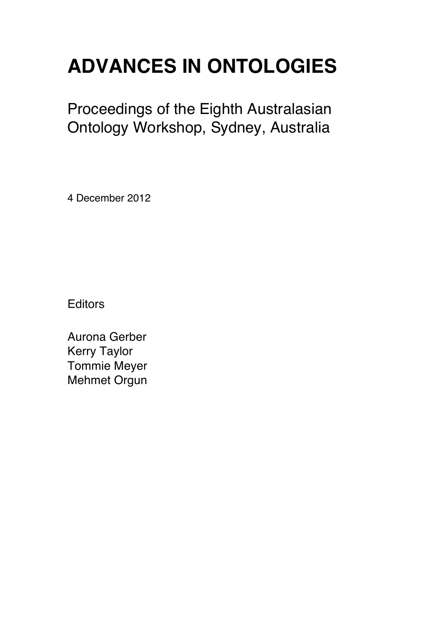# **ADVANCES IN ONTOLOGIES**

Proceedings of the Eighth Australasian Ontology Workshop, Sydney, Australia

4 December 2012

**Editors** 

Aurona Gerber Kerry Taylor Tommie Meyer Mehmet Orgun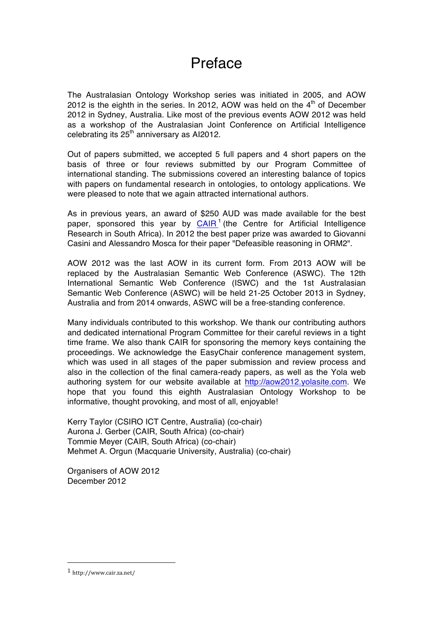## Preface

The Australasian Ontology Workshop series was initiated in 2005, and AOW 2012 is the eighth in the series. In 2012, AOW was held on the  $4<sup>th</sup>$  of December 2012 in Sydney, Australia. Like most of the previous events AOW 2012 was held as a workshop of the Australasian Joint Conference on Artificial Intelligence celebrating its  $25<sup>th</sup>$  anniversary as AI2012.

Out of papers submitted, we accepted 5 full papers and 4 short papers on the basis of three or four reviews submitted by our Program Committee of international standing. The submissions covered an interesting balance of topics with papers on fundamental research in ontologies, to ontology applications. We were pleased to note that we again attracted international authors.

As in previous years, an award of \$250 AUD was made available for the best paper, sponsored this year by  $C A I R<sup>1</sup>$  (the Centre for Artificial Intelligence Research in South Africa). In 2012 the best paper prize was awarded to Giovanni Casini and Alessandro Mosca for their paper "Defeasible reasoning in ORM2".

AOW 2012 was the last AOW in its current form. From 2013 AOW will be replaced by the Australasian Semantic Web Conference (ASWC). The 12th International Semantic Web Conference (ISWC) and the 1st Australasian Semantic Web Conference (ASWC) will be held 21-25 October 2013 in Sydney, Australia and from 2014 onwards, ASWC will be a free-standing conference.

Many individuals contributed to this workshop. We thank our contributing authors and dedicated international Program Committee for their careful reviews in a tight time frame. We also thank CAIR for sponsoring the memory keys containing the proceedings. We acknowledge the EasyChair conference management system, which was used in all stages of the paper submission and review process and also in the collection of the final camera-ready papers, as well as the Yola web authoring system for our website available at http://aow2012.yolasite.com. We hope that you found this eighth Australasian Ontology Workshop to be informative, thought provoking, and most of all, enjoyable!

Kerry Taylor (CSIRO ICT Centre, Australia) (co-chair) Aurona J. Gerber (CAIR, South Africa) (co-chair) Tommie Meyer (CAIR, South Africa) (co-chair) Mehmet A. Orgun (Macquarie University, Australia) (co-chair)

Organisers of AOW 2012 December 2012

 

<sup>1</sup> http://www.cair.za.net/